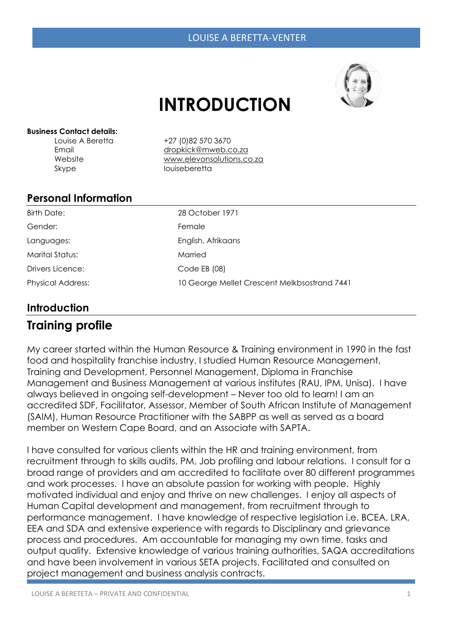

# **INTRODUCTION**

#### **Business Contact details:**

Skype louiseberetta

Louise A Beretta +27 (0)82 570 3670 Email [dropkick@mweb.co.za](mailto:dropkick@mweb.co.za) Website [www.elevonsolutions.co.za](http://www.elevonsoltuions/) 

#### **Personal Information**

| Birth Date:              | 28 October 1971                              |
|--------------------------|----------------------------------------------|
| Gender:                  | Female                                       |
| Languages:               | English, Afrikaans                           |
| Marital Status:          | Married                                      |
| Drivers Licence:         | Code $EB(08)$                                |
| <b>Physical Address:</b> | 10 George Mellet Crescent Melkbsostrand 7441 |

#### **Introduction**

# **Training profile**

My career started within the Human Resource & Training environment in 1990 in the fast food and hospitality franchise industry. I studied Human Resource Management, Training and Development, Personnel Management, Diploma in Franchise Management and Business Management at various institutes (RAU, IPM, Unisa). I have always believed in ongoing self-development – Never too old to learn! I am an accredited SDF, Facilitator, Assessor, Member of South African Institute of Management (SAIM), Human Resource Practitioner with the SABPP as well as served as a board member on Western Cape Board, and an Associate with SAPTA.

I have consulted for various clients within the HR and training environment, from recruitment through to skills audits, PM, Job profiling and labour relations. I consult for a broad range of providers and am accredited to facilitate over 80 different programmes and work processes. I have an absolute passion for working with people. Highly motivated individual and enjoy and thrive on new challenges. I enjoy all aspects of Human Capital development and management, from recruitment through to performance management. I have knowledge of respective legislation i.e. BCEA, LRA, EEA and SDA and extensive experience with regards to Disciplinary and grievance process and procedures. Am accountable for managing my own time, tasks and output quality. Extensive knowledge of various training authorities, SAQA accreditations and have been involvement in various SETA projects. Facilitated and consulted on project management and business analysis contracts.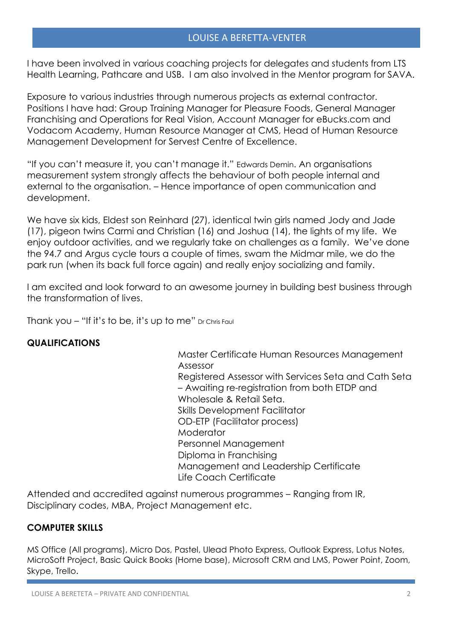#### LOUISE A BERETTA-VENTER

I have been involved in various coaching projects for delegates and students from LTS Health Learning, Pathcare and USB. I am also involved in the Mentor program for SAVA.

Exposure to various industries through numerous projects as external contractor. Positions I have had: Group Training Manager for Pleasure Foods, General Manager Franchising and Operations for Real Vision, Account Manager for eBucks.com and Vodacom Academy, Human Resource Manager at CMS, Head of Human Resource Management Development for Servest Centre of Excellence.

"If you can't measure it, you can't manage it." Edwards Demin. An organisations measurement system strongly affects the behaviour of both people internal and external to the organisation. – Hence importance of open communication and development.

We have six kids, Eldest son Reinhard (27), identical twin girls named Jody and Jade (17), pigeon twins Carmi and Christian (16) and Joshua (14), the lights of my life. We enjoy outdoor activities, and we regularly take on challenges as a family. We've done the 94.7 and Argus cycle tours a couple of times, swam the Midmar mile, we do the park run (when its back full force again) and really enjoy socializing and family.

I am excited and look forward to an awesome journey in building best business through the transformation of lives.

Thank you – "If it's to be, it's up to me" Dr Chris Faul

#### **QUALIFICATIONS**

Master Certificate Human Resources Management Assessor Registered Assessor with Services Seta and Cath Seta – Awaiting re-registration from both ETDP and Wholesale & Retail Seta. Skills Development Facilitator OD-ETP (Facilitator process) **Moderator** Personnel Management Diploma in Franchising Management and Leadership Certificate Life Coach Certificate

Attended and accredited against numerous programmes – Ranging from IR, Disciplinary codes, MBA, Project Management etc.

#### **COMPUTER SKILLS**

MS Office (All programs), Micro Dos, Pastel, Ulead Photo Express, Outlook Express, Lotus Notes, MicroSoft Project, Basic Quick Books (Home base), Microsoft CRM and LMS, Power Point, Zoom, Skype, Trello.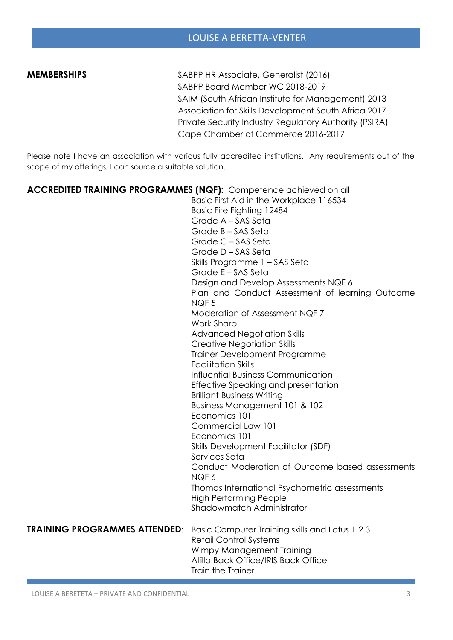**MEMBERSHIPS** SABPP HR Associate, Generalist (2016) SABPP Board Member WC 2018-2019 SAIM (South African Institute for Management) 2013 Association for Skills Development South Africa 2017 Private Security Industry Regulatory Authority (PSIRA) Cape Chamber of Commerce 2016-2017

Please note I have an association with various fully accredited institutions. Any requirements out of the scope of my offerings, I can source a suitable solution.

| <b>ACCREDITED TRAINING PROGRAMMES (NQF):</b> Competence achieved on all |                                                 |
|-------------------------------------------------------------------------|-------------------------------------------------|
|                                                                         | Basic First Aid in the Workplace 116534         |
|                                                                         | Basic Fire Fighting 12484                       |
|                                                                         | Grade A - SAS Seta                              |
|                                                                         | Grade B - SAS Seta                              |
|                                                                         | Grade C - SAS Seta                              |
|                                                                         | Grade D-SAS Seta                                |
|                                                                         | Skills Programme 1 - SAS Seta                   |
|                                                                         | Grade E - SAS Seta                              |
|                                                                         | Design and Develop Assessments NQF 6            |
|                                                                         | Plan and Conduct Assessment of learning Outcome |
|                                                                         | NQF <sub>5</sub>                                |
|                                                                         | Moderation of Assessment NQF 7                  |
|                                                                         | Work Sharp                                      |
|                                                                         | <b>Advanced Negotiation Skills</b>              |
|                                                                         | <b>Creative Negotiation Skills</b>              |
|                                                                         | <b>Trainer Development Programme</b>            |
|                                                                         | <b>Facilitation Skills</b>                      |
|                                                                         | Influential Business Communication              |
|                                                                         | Effective Speaking and presentation             |
|                                                                         | <b>Brilliant Business Writing</b>               |
|                                                                         | Business Management 101 & 102                   |
|                                                                         | Economics 101                                   |
|                                                                         | Commercial Law 101                              |
|                                                                         | Economics 101                                   |
|                                                                         | <b>Skills Development Facilitator (SDF)</b>     |
|                                                                         | Services Seta                                   |
|                                                                         | Conduct Moderation of Outcome based assessments |
|                                                                         | NQF6                                            |
|                                                                         | Thomas International Psychometric assessments   |
|                                                                         | <b>High Performing People</b>                   |
|                                                                         | Shadowmatch Administrator                       |
| <b>TRAINING PROGRAMMES ATTENDED:</b>                                    | Basic Computer Training skills and Lotus 1 2 3  |
|                                                                         | <b>Retail Control Systems</b>                   |
|                                                                         | Wimpy Management Training                       |
|                                                                         | Atilla Back Office/IRIS Back Office             |
|                                                                         | Train the Trainer                               |
|                                                                         |                                                 |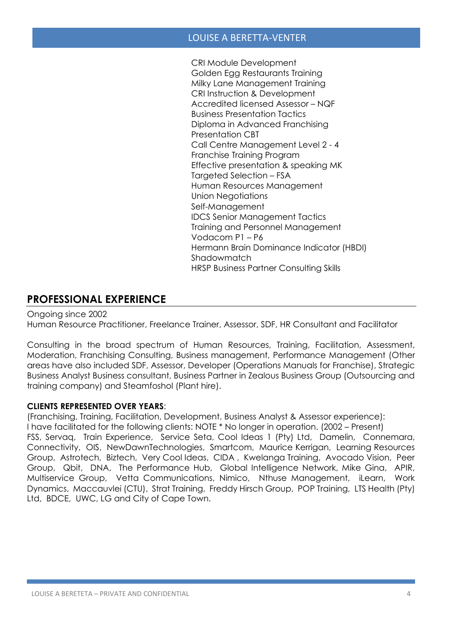#### LOUISE A BERETTA-VENTER

CRI Module Development Golden Egg Restaurants Training Milky Lane Management Training CRI Instruction & Development Accredited licensed Assessor – NQF Business Presentation Tactics Diploma in Advanced Franchising Presentation CBT Call Centre Management Level 2 - 4 Franchise Training Program Effective presentation & speaking MK Targeted Selection – FSA Human Resources Management Union Negotiations Self-Management IDCS Senior Management Tactics Training and Personnel Management Vodacom P1 – P6 Hermann Brain Dominance Indicator (HBDI) Shadowmatch HRSP Business Partner Consulting Skills

### **PROFESSIONAL EXPERIENCE**

Ongoing since 2002

Human Resource Practitioner, Freelance Trainer, Assessor, SDF, HR Consultant and Facilitator

Consulting in the broad spectrum of Human Resources, Training, Facilitation, Assessment, Moderation, Franchising Consulting, Business management, Performance Management (Other areas have also included SDF, Assessor, Developer (Operations Manuals for Franchise), Strategic Business Analyst Business consultant, Business Partner in Zealous Business Group (Outsourcing and training company) and Steamfoshol (Plant hire).

#### **CLIENTS REPRESENTED OVER YEARS**:

(Franchising, Training, Facilitation, Development, Business Analyst & Assessor experience): I have facilitated for the following clients: NOTE \* No longer in operation. (2002 – Present) FSS, Servaq, Train Experience, Service Seta, Cool Ideas 1 (Pty) Ltd, Damelin, Connemara, Connectivity, OIS, NewDawnTechnologies, Smartcom, Maurice Kerrigan, Learning Resources Group, Astrotech, Biztech, Very Cool Ideas, CIDA , Kwelanga Training, Avocado Vision, Peer Group, Qbit, DNA, The Performance Hub, Global Intelligence Network, Mike Gina, APIR, Multiservice Group, Vetta Communications, Nimico, Nthuse Management, iLearn, Work Dynamics, Maccauvlei (CTU), Strat Training, Freddy Hirsch Group, POP Training, LTS Health (Pty) Ltd, BDCE, UWC, LG and City of Cape Town.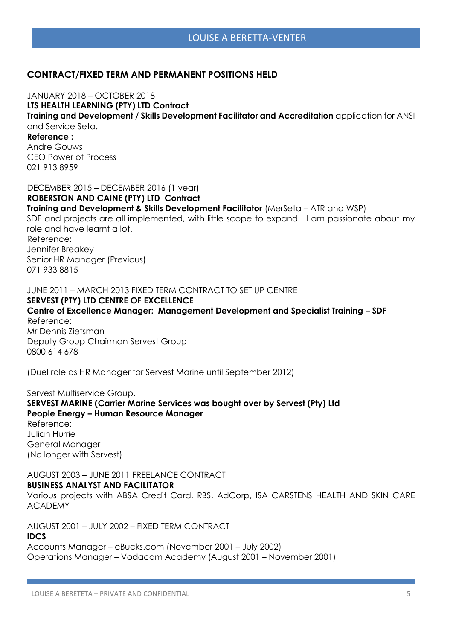#### LOUISE A BERETTA-VENTER

#### **CONTRACT/FIXED TERM AND PERMANENT POSITIONS HELD**

JANUARY 2018 – OCTOBER 2018 **LTS HEALTH LEARNING (PTY) LTD Contract Training and Development / Skills Development Facilitator and Accreditation** application for ANSI and Service Seta. **Reference :**  Andre Gouws CEO Power of Process 021 913 8959 DECEMBER 2015 – DECEMBER 2016 (1 year)

**ROBERSTON AND CAINE (PTY) LTD Contract Training and Development & Skills Development Facilitator** (MerSeta – ATR and WSP) SDF and projects are all implemented, with little scope to expand. I am passionate about my role and have learnt a lot. Reference: Jennifer Breakey Senior HR Manager (Previous) 071 933 8815

JUNE 2011 – MARCH 2013 FIXED TERM CONTRACT TO SET UP CENTRE **SERVEST (PTY) LTD CENTRE OF EXCELLENCE Centre of Excellence Manager: Management Development and Specialist Training – SDF** Reference: Mr Dennis Zietsman Deputy Group Chairman Servest Group 0800 614 678

(Duel role as HR Manager for Servest Marine until September 2012)

Servest Multiservice Group. **SERVEST MARINE (Carrier Marine Services was bought over by Servest (Pty) Ltd People Energy – Human Resource Manager**  Reference: Julian Hurrie General Manager (No longer with Servest)

AUGUST 2003 – JUNE 2011 FREELANCE CONTRACT **BUSINESS ANALYST AND FACILITATOR** 

Various projects with ABSA Credit Card, RBS, AdCorp, ISA CARSTENS HEALTH AND SKIN CARE ACADEMY

AUGUST 2001 – JULY 2002 – FIXED TERM CONTRACT

#### **IDCS**

Accounts Manager – eBucks.com (November 2001 – July 2002) Operations Manager – Vodacom Academy (August 2001 – November 2001)